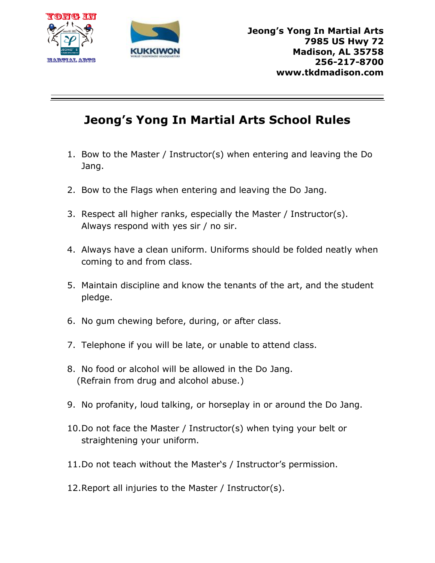



## **Jeong's Yong In Martial Arts School Rules**

- 1. Bow to the Master / Instructor(s) when entering and leaving the Do Jang.
- 2. Bow to the Flags when entering and leaving the Do Jang.
- 3. Respect all higher ranks, especially the Master / Instructor(s). Always respond with yes sir / no sir.
- 4. Always have a clean uniform. Uniforms should be folded neatly when coming to and from class.
- 5. Maintain discipline and know the tenants of the art, and the student pledge.
- 6. No gum chewing before, during, or after class.
- 7. Telephone if you will be late, or unable to attend class.
- 8. No food or alcohol will be allowed in the Do Jang. (Refrain from drug and alcohol abuse.)
- 9. No profanity, loud talking, or horseplay in or around the Do Jang.
- 10.Do not face the Master / Instructor(s) when tying your belt or straightening your uniform.
- 11.Do not teach without the Master's / Instructor's permission.
- 12.Report all injuries to the Master / Instructor(s).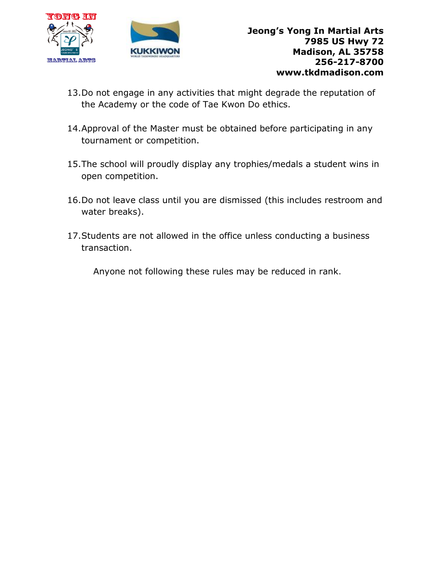



- 13.Do not engage in any activities that might degrade the reputation of the Academy or the code of Tae Kwon Do ethics.
- 14.Approval of the Master must be obtained before participating in any tournament or competition.
- 15.The school will proudly display any trophies/medals a student wins in open competition.
- 16.Do not leave class until you are dismissed (this includes restroom and water breaks).
- 17.Students are not allowed in the office unless conducting a business transaction.

Anyone not following these rules may be reduced in rank.